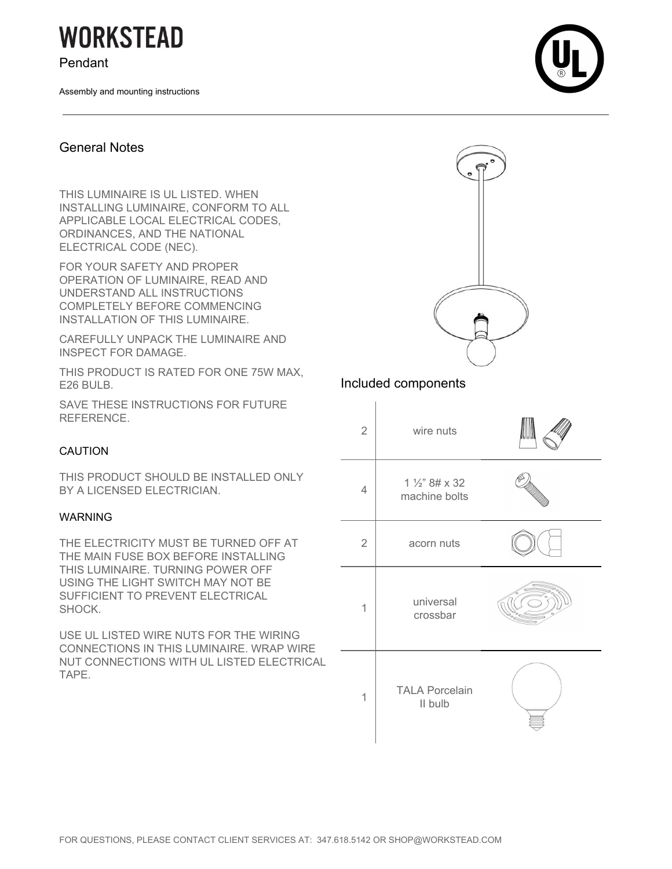# **WORKSTEAD**

Pendant

Assembly and mounting instructions



### General Notes

THIS LUMINAIRE IS UL LISTED. WHEN INSTALLING LUMINAIRE, CONFORM TO ALL APPLICABLE LOCAL ELECTRICAL CODES, ORDINANCES, AND THE NATIONAL ELECTRICAL CODE (NEC).

FOR YOUR SAFETY AND PROPER OPERATION OF LUMINAIRE, READ AND UNDERSTAND ALL INSTRUCTIONS COMPLETELY BEFORE COMMENCING INSTALLATION OF THIS LUMINAIRE.

CAREFULLY UNPACK THE LUMINAIRE AND INSPECT FOR DAMAGE.

THIS PRODUCT IS RATED FOR ONE 75W MAX, E26 BULB.

SAVE THESE INSTRUCTIONS FOR FUTURE REFERENCE.

#### CAUTION

THIS PRODUCT SHOULD BE INSTALLED ONLY BY A LICENSED ELECTRICIAN.

#### WARNING

THE ELECTRICITY MUST BE TURNED OFF AT THE MAIN FUSE BOX BEFORE INSTALLING THIS LUMINAIRE. TURNING POWER OFF USING THE LIGHT SWITCH MAY NOT BE SUFFICIENT TO PREVENT ELECTRICAL SHOCK.

USE UL LISTED WIRE NUTS FOR THE WIRING CONNECTIONS IN THIS LUMINAIRE. WRAP WIRE NUT CONNECTIONS WITH UL LISTED ELECTRICAL TAPE.

# Included components